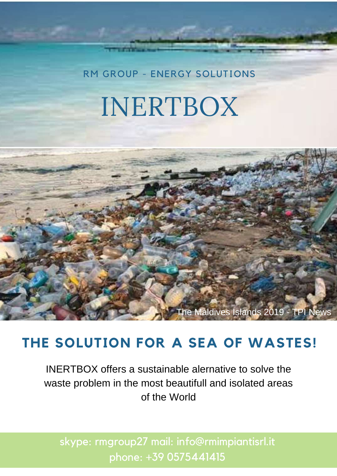RM GROUP - ENERGY [SOLUTIONS](https://www.rmimpiantisrl.it/)

## INERTBOX



## **THE SOLUTION FOR A SEA OF WASTES!**

INERTBOX offers a sustainable alernative to solve the waste problem in the most beautifull and isolated areas of the World

skype: rmgroup27 mail: info@rmimpiantisrl.it phone: +39 0575441415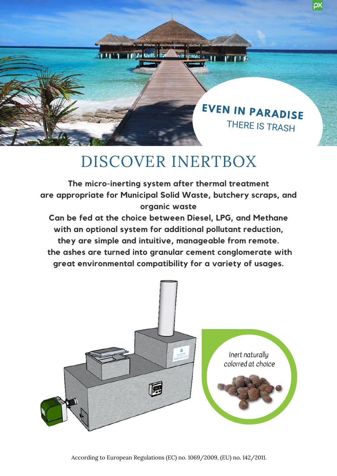

**PARTITION** 

## DISCOVER INERTBOX

創 117 1世名な色 写

**Carl Street** 11

**The micro-inerting system after thermal treatment are appropriate for Municipal Solid Waste, butchery scraps, and organic waste**

**Can be fed at the choice between Diesel, LPG, and Methane with an optional system for additional pollutant reduction, they are simple and intuitive, manageable from remote. the ashes are turned into granular cement conglomerate with great environmental compatibility for a variety of usages.**

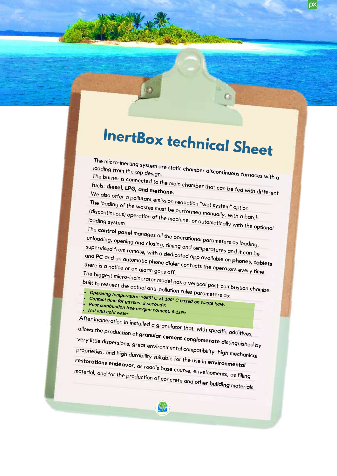## **InertBox technical Sheet**

G

ρx

The micro-inerting system are static chamber discontinuous furnaces with a<br>loading from the top design.<br>The burner is connected in the static chamber discontinuous furnaces with a

The burner is connected to the main chamber that can be fed with different fuels: **diesel, LPG, and methane.** fuels: diesel, LPG, and methane.

e also offer a pollutant emission reduction "wet system" option.<br>e loading of the wastes must be porfaction. The loading of the wastes must be performed manually, with a batch<br>(discontinuous) operation of the machine, or automatically with the on (discontinuous) operation of the machine, or automatically, with a batch<br>loading system.<br>The conty t loading system.

The **control panel** manages all the operational parameters as loading, unloading, opening and closing, timing and temperatures and it can be supervised from remote, with a dedicated app available on **phones**, **tablets**<br>and PC and an automatic phone dialer contacts the energy approach there is a potics. and **PC** and an automatic phone dialer contacts the operators every time<br>there is a notice or an alarm goes off.<br>The biggest mine : there is a notice or an alarm goes off.<br>The biggest micro-incinerator model has a vertical post-combustion chamber

built to respect the actual anti-pollution rules parameters as:

- *Operating temperature: >850° <sup>C</sup> >1.100° <sup>C</sup> based on waste type; P C o n ta c t ti m*
- *o s t c o m b u <sup>e</sup> for gasses: <sup>2</sup> seconds;*
- *stion free oxygen content: 6-11%; Hot and cold water*

After incineration in installed <sup>a</sup> granulator that, with specific additives, allows the production of **granular cement conglomerate** distinguished by very little dispersions, great environmental compatibility, high mechanical proprieties, and high durability suitable for the use in **environmental restorations endeavor**, as road's base course, envelopments, as filling material, and for the production of concrete and other **building** materials.